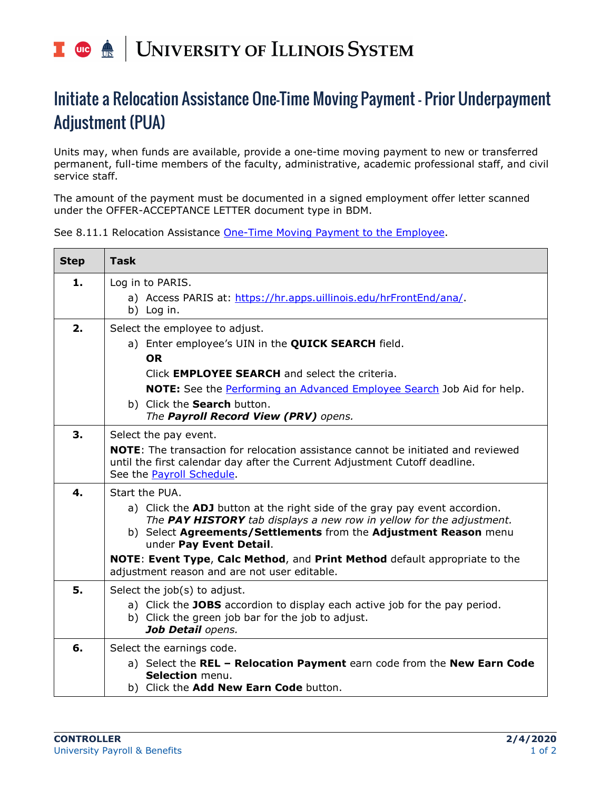## UNIVERSITY OF ILLINOIS SYSTEM T die <u>dis</u>

## Initiate a Relocation Assistance One-Time Moving Payment – Prior Underpayment Adjustment (PUA)

Units may, when funds are available, provide a one-time moving payment to new or transferred permanent, full-time members of the faculty, administrative, academic professional staff, and civil service staff.

The amount of the payment must be documented in a signed employment offer letter scanned under the OFFER-ACCEPTANCE LETTER document type in BDM.

See 8.11.1 Relocation Assistance [One-Time Moving Payment to the Employee.](https://www.obfs.uillinois.edu/bfpp/section-8-payments-reimbursements/moving-reimbursements/relocation-assistance-payment-employee)

| <b>Step</b> | <b>Task</b>                                                                                                                                                           |
|-------------|-----------------------------------------------------------------------------------------------------------------------------------------------------------------------|
| 1.          | Log in to PARIS.<br>a) Access PARIS at: https://hr.apps.uillinois.edu/hrFrontEnd/ana/.                                                                                |
|             | b) Log in.                                                                                                                                                            |
| 2.          | Select the employee to adjust.                                                                                                                                        |
|             | a) Enter employee's UIN in the <b>QUICK SEARCH</b> field.                                                                                                             |
|             | <b>OR</b>                                                                                                                                                             |
|             | Click <b>EMPLOYEE SEARCH</b> and select the criteria.                                                                                                                 |
|             | <b>NOTE:</b> See the Performing an Advanced Employee Search Job Aid for help.                                                                                         |
|             | b) Click the Search button.                                                                                                                                           |
|             | The Payroll Record View (PRV) opens.                                                                                                                                  |
| 3.          | Select the pay event.                                                                                                                                                 |
|             | <b>NOTE:</b> The transaction for relocation assistance cannot be initiated and reviewed<br>until the first calendar day after the Current Adjustment Cutoff deadline. |
|             | See the Payroll Schedule.                                                                                                                                             |
| 4.          | Start the PUA.                                                                                                                                                        |
|             | a) Click the <b>ADJ</b> button at the right side of the gray pay event accordion.                                                                                     |
|             | The PAY HISTORY tab displays a new row in yellow for the adjustment.<br>b) Select Agreements/Settlements from the Adjustment Reason menu                              |
|             | under Pay Event Detail.                                                                                                                                               |
|             | NOTE: Event Type, Calc Method, and Print Method default appropriate to the<br>adjustment reason and are not user editable.                                            |
| 5.          | Select the job(s) to adjust.                                                                                                                                          |
|             | a) Click the JOBS accordion to display each active job for the pay period.                                                                                            |
|             | b) Click the green job bar for the job to adjust.                                                                                                                     |
|             | Job Detail opens.                                                                                                                                                     |
| 6.          | Select the earnings code.                                                                                                                                             |
|             | a) Select the REL - Relocation Payment earn code from the New Earn Code                                                                                               |
|             | Selection menu.<br>b) Click the Add New Earn Code button.                                                                                                             |
|             |                                                                                                                                                                       |